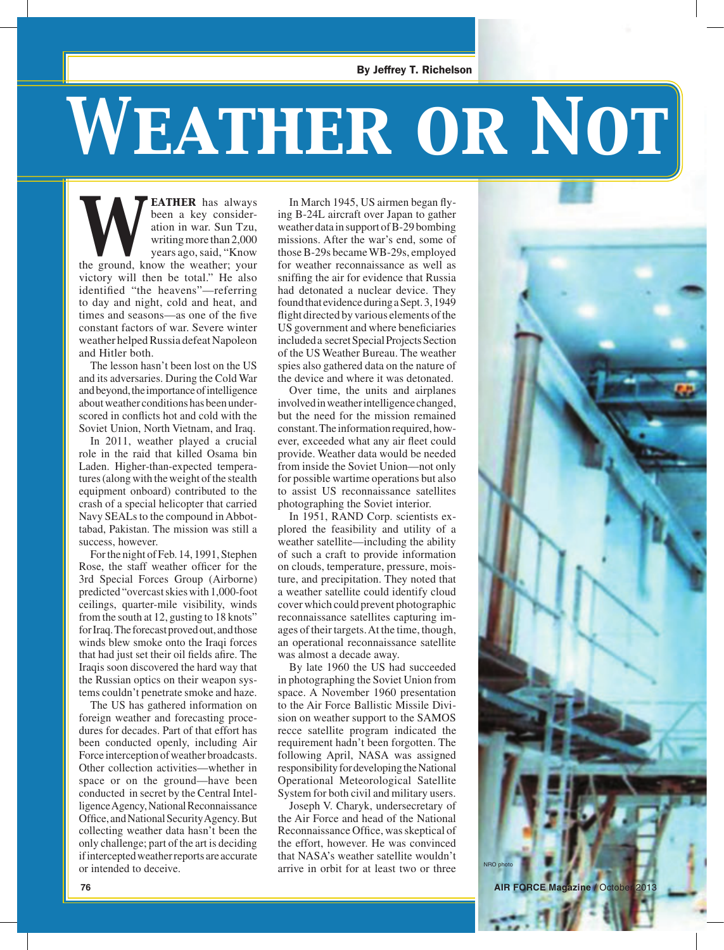## *Weather or Not*

**EATHER** has always been a key consideration in war. Sun Tzu, writing more than 2,000 years ago, said, "Know the weather; your been a key consideration in war. Sun Tzu, writing more than 2,000 years ago, said, "Know victory will then be total." He also identified "the heavens"—referring to day and night, cold and heat, and times and seasons—as one of the five constant factors of war. Severe winter weather helped Russia defeat Napoleon and Hitler both.

The lesson hasn't been lost on the US and its adversaries. During the Cold War and beyond, the importance of intelligence about weather conditions has been underscored in conflicts hot and cold with the Soviet Union, North Vietnam, and Iraq.

In 2011, weather played a crucial role in the raid that killed Osama bin Laden. Higher-than-expected temperatures (along with the weight of the stealth equipment onboard) contributed to the crash of a special helicopter that carried Navy SEALs to the compound in Abbottabad, Pakistan. The mission was still a success, however.

For the night of Feb. 14, 1991, Stephen Rose, the staff weather officer for the 3rd Special Forces Group (Airborne) predicted "overcast skies with 1,000-foot ceilings, quarter-mile visibility, winds from the south at 12, gusting to 18 knots" for Iraq. The forecast proved out, and those winds blew smoke onto the Iraqi forces that had just set their oil fields afire. The Iraqis soon discovered the hard way that the Russian optics on their weapon systems couldn't penetrate smoke and haze.

The US has gathered information on foreign weather and forecasting procedures for decades. Part of that effort has been conducted openly, including Air Force interception of weather broadcasts. Other collection activities—whether in space or on the ground—have been conducted in secret by the Central Intelligence Agency, National Reconnaissance Office, and National Security Agency. But collecting weather data hasn't been the only challenge; part of the art is deciding if intercepted weather reports are accurate or intended to deceive.

In March 1945, US airmen began flying B-24L aircraft over Japan to gather weather data in support of B-29 bombing missions. After the war's end, some of those B-29s became WB-29s, employed for weather reconnaissance as well as sniffing the air for evidence that Russia had detonated a nuclear device. They found that evidence during a Sept. 3, 1949 flight directed by various elements of the US government and where beneficiaries included a secret Special Projects Section of the US Weather Bureau. The weather spies also gathered data on the nature of the device and where it was detonated.

Over time, the units and airplanes involved in weather intelligence changed, but the need for the mission remained constant. The information required, however, exceeded what any air fleet could provide. Weather data would be needed from inside the Soviet Union—not only for possible wartime operations but also to assist US reconnaissance satellites photographing the Soviet interior.

In 1951, RAND Corp. scientists explored the feasibility and utility of a weather satellite—including the ability of such a craft to provide information on clouds, temperature, pressure, moisture, and precipitation. They noted that a weather satellite could identify cloud cover which could prevent photographic reconnaissance satellites capturing images of their targets. At the time, though, an operational reconnaissance satellite was almost a decade away.

By late 1960 the US had succeeded in photographing the Soviet Union from space. A November 1960 presentation to the Air Force Ballistic Missile Division on weather support to the SAMOS recce satellite program indicated the requirement hadn't been forgotten. The following April, NASA was assigned responsibility for developing the National Operational Meteorological Satellite System for both civil and military users.

Joseph V. Charyk, undersecretary of the Air Force and head of the National Reconnaissance Office, was skeptical of the effort, however. He was convinced that NASA's weather satellite wouldn't arrive in orbit for at least two or three

NRO photo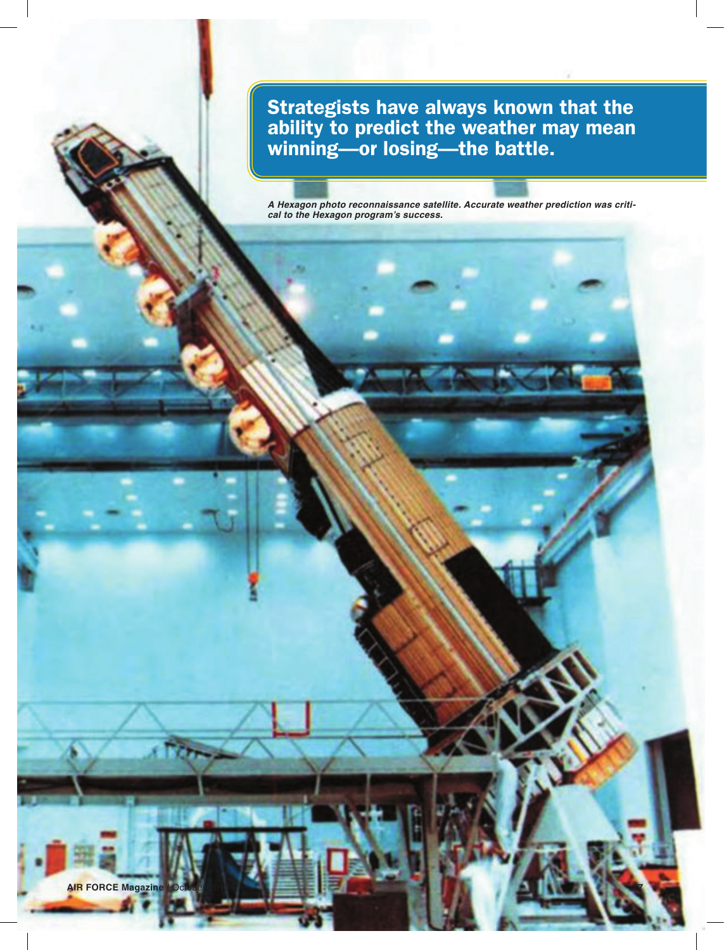Strategists have always known that the<br>ability to predict the weather may mean<br>winning—or losing—the battle. ability to predict the weather may mean winning—or losing—the battle.

> *A Hexagon photo reconnaissance satellite. Accurate weather prediction was critical to the Hexagon program's success.*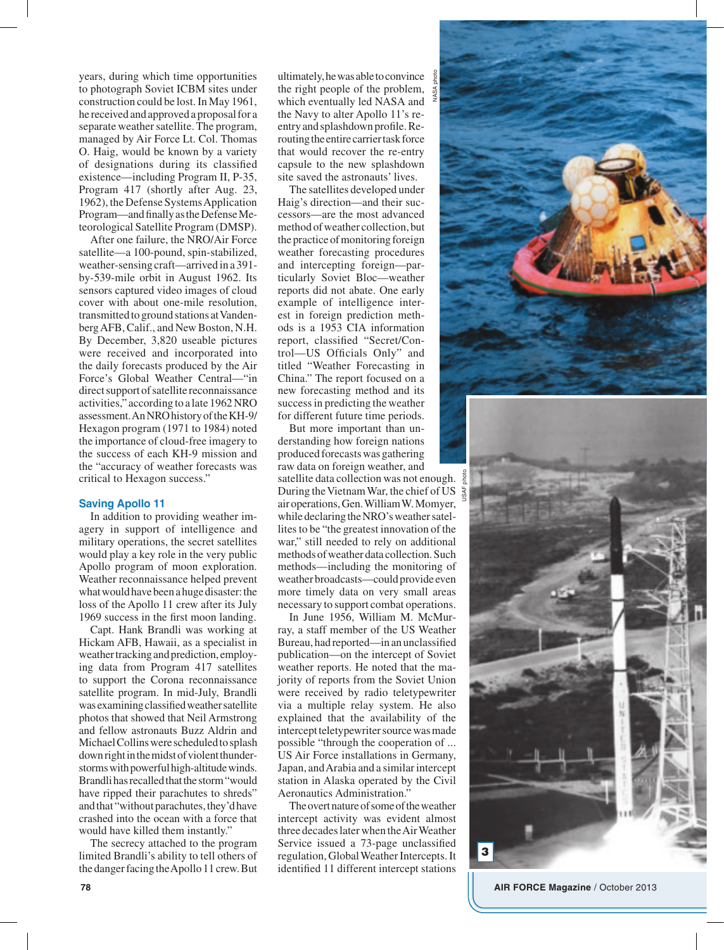years, during which time opportunities to photograph Soviet ICBM sites under construction could be lost. In May 1961, he received and approved a proposal for a separate weather satellite. The program, managed by Air Force Lt. Col. Thomas O. Haig, would be known by a variety of designations during its classified existence—including Program II, P-35, Program 417 (shortly after Aug. 23, 1962), the Defense Systems Application Program—and finally as the Defense Meteorological Satellite Program (DMSP).

After one failure, the NRO/Air Force satellite—a 100-pound, spin-stabilized, weather-sensing craft—arrived in a 391 by-539-mile orbit in August 1962. Its sensors captured video images of cloud cover with about one-mile resolution, transmitted to ground stations at Vandenberg AFB, Calif., and New Boston, N.H. By December, 3,820 useable pictures were received and incorporated into the daily forecasts produced by the Air Force's Global Weather Central—"in direct support of satellite reconnaissance activities," according to a late 1962 NRO assessment. An NRO history of the KH-9/ Hexagon program (1971 to 1984) noted the importance of cloud-free imagery to the success of each KH-9 mission and the "accuracy of weather forecasts was critical to Hexagon success."

## **Saving Apollo 11**

In addition to providing weather imagery in support of intelligence and military operations, the secret satellites would play a key role in the very public Apollo program of moon exploration. Weather reconnaissance helped prevent what would have been a huge disaster: the loss of the Apollo 11 crew after its July 1969 success in the first moon landing.

Capt. Hank Brandli was working at Hickam AFB, Hawaii, as a specialist in weather tracking and prediction, employing data from Program 417 satellites to support the Corona reconnaissance satellite program. In mid-July, Brandli was examining classified weather satellite photos that showed that Neil Armstrong and fellow astronauts Buzz Aldrin and Michael Collins were scheduled to splash down right in the midst of violent thunderstorms with powerful high-altitude winds. Brandli has recalled that the storm "would have ripped their parachutes to shreds" and that "without parachutes, they'd have crashed into the ocean with a force that would have killed them instantly."

The secrecy attached to the program limited Brandli's ability to tell others of the danger facing the Apollo 11 crew. But

ultimately, he was able to convince  $\frac{8}{5}$ the right people of the problem, which eventually led NASA and the Navy to alter Apollo 11's reentry and splashdown profile. Rerouting the entire carrier task force that would recover the re-entry capsule to the new splashdown site saved the astronauts' lives.

NASA photo

The satellites developed under Haig's direction—and their successors—are the most advanced method of weather collection, but the practice of monitoring foreign weather forecasting procedures and intercepting foreign—particularly Soviet Bloc—weather reports did not abate. One early example of intelligence interest in foreign prediction methods is a 1953 CIA information report, classified "Secret/Control—US Officials Only" and titled "Weather Forecasting in China." The report focused on a new forecasting method and its success in predicting the weather for different future time periods.

But more important than understanding how foreign nations produced forecasts was gathering raw data on foreign weather, and satellite data collection was not enough.  $\frac{5}{6}$ During the Vietnam War, the chief of US  $\frac{1}{8}$ air operations, Gen. William W. Momyer, while declaring the NRO's weather satellites to be "the greatest innovation of the war," still needed to rely on additional methods of weather data collection. Such methods—including the monitoring of weather broadcasts—could provide even more timely data on very small areas necessary to support combat operations.

In June 1956, William M. McMurray, a staff member of the US Weather Bureau, had reported—in an unclassified publication—on the intercept of Soviet weather reports. He noted that the majority of reports from the Soviet Union were received by radio teletypewriter via a multiple relay system. He also explained that the availability of the intercept teletypewriter source was made possible "through the cooperation of ... US Air Force installations in Germany, Japan, and Arabia and a similar intercept station in Alaska operated by the Civil Aeronautics Administration."

The overt nature of some of the weather intercept activity was evident almost three decades later when the Air Weather Service issued a 73-page unclassified regulation, Global Weather Intercepts. It identified 11 different intercept stations



**78 AIR FORCE Magazine** / October 2013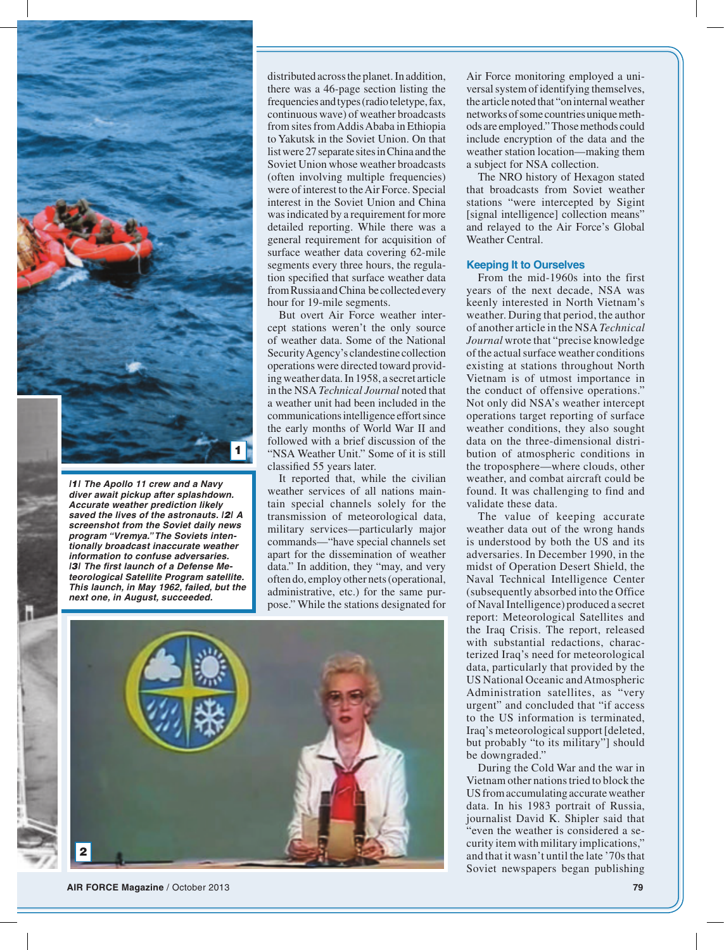

*|1| The Apollo 11 crew and a Navy diver await pickup after splashdown. Accurate weather prediction likely saved the lives of the astronauts. |2| A screenshot from the Soviet daily news program "Vremya." The Soviets intentionally broadcast inaccurate weather information to confuse adversaries. |3| The first launch of a Defense Meteorological Satellite Program satellite. This launch, in May 1962, failed, but the next one, in August, succeeded.*

distributed across the planet. In addition, there was a 46-page section listing the frequencies and types (radio teletype, fax, continuous wave) of weather broadcasts from sites from Addis Ababa in Ethiopia to Yakutsk in the Soviet Union. On that list were 27 separate sites in China and the Soviet Union whose weather broadcasts (often involving multiple frequencies) were of interest to the Air Force. Special interest in the Soviet Union and China was indicated by a requirement for more detailed reporting. While there was a general requirement for acquisition of surface weather data covering 62-mile segments every three hours, the regulation specified that surface weather data from Russia and China be collected every hour for 19-mile segments.

But overt Air Force weather intercept stations weren't the only source of weather data. Some of the National Security Agency's clandestine collection operations were directed toward providing weather data. In 1958, a secret article in the NSA *Technical Journal* noted that a weather unit had been included in the communications intelligence effort since the early months of World War II and followed with a brief discussion of the "NSA Weather Unit." Some of it is still classified 55 years later.

It reported that, while the civilian weather services of all nations maintain special channels solely for the transmission of meteorological data, military services—particularly major commands—"have special channels set apart for the dissemination of weather data." In addition, they "may, and very often do, employ other nets (operational, administrative, etc.) for the same purpose." While the stations designated for



**AIR FORCE Magazine** / October 2013 **79**

Air Force monitoring employed a universal system of identifying themselves, the article noted that "on internal weather networks of some countries unique methods are employed." Those methods could include encryption of the data and the weather station location—making them a subject for NSA collection.

The NRO history of Hexagon stated that broadcasts from Soviet weather stations "were intercepted by Sigint [signal intelligence] collection means" and relayed to the Air Force's Global Weather Central.

## **Keeping It to Ourselves**

From the mid-1960s into the first years of the next decade, NSA was keenly interested in North Vietnam's weather. During that period, the author of another article in the NSA *Technical Journal* wrote that "precise knowledge of the actual surface weather conditions existing at stations throughout North Vietnam is of utmost importance in the conduct of offensive operations." Not only did NSA's weather intercept operations target reporting of surface weather conditions, they also sought data on the three-dimensional distribution of atmospheric conditions in the troposphere—where clouds, other weather, and combat aircraft could be found. It was challenging to find and validate these data.

The value of keeping accurate weather data out of the wrong hands is understood by both the US and its adversaries. In December 1990, in the midst of Operation Desert Shield, the Naval Technical Intelligence Center (subsequently absorbed into the Office of Naval Intelligence) produced a secret report: Meteorological Satellites and the Iraq Crisis. The report, released with substantial redactions, characterized Iraq's need for meteorological data, particularly that provided by the US National Oceanic and Atmospheric Administration satellites, as "very urgent" and concluded that "if access to the US information is terminated, Iraq's meteorological support [deleted, but probably "to its military"] should be downgraded."

During the Cold War and the war in Vietnam other nations tried to block the US from accumulating accurate weather data. In his 1983 portrait of Russia, journalist David K. Shipler said that "even the weather is considered a security item with military implications," and that it wasn't until the late '70s that Soviet newspapers began publishing